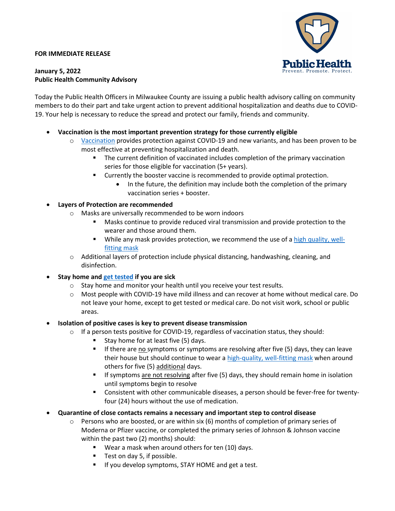#### **FOR IMMEDIATE RELEASE**



#### **January 5, 2022 Public Health Community Advisory**

Today the Public Health Officers in Milwaukee County are issuing a public health advisory calling on community members to do their part and take urgent action to prevent additional hospitalization and deaths due to COVID-19. Your help is necessary to reduce the spread and protect our family, friends and community.

- **Vaccination is the most important prevention strategy for those currently eligible**
	- o [Vaccination](https://www.vaccines.gov/) provides protection against COVID-19 and new variants, and has been proven to be most effective at preventing hospitalization and death.
		- The current definition of vaccinated includes completion of the primary vaccination series for those eligible for vaccination (5+ years).
		- Currently the booster vaccine is recommended to provide optimal protection.
			- In the future, the definition may include both the completion of the primary vaccination series + booster.

## • **Layers of Protection are recommended**

- o Masks are universally recommended to be worn indoors
	- Masks continue to provide reduced viral transmission and provide protection to the wearer and those around them.
	- While any mask provides protection, we recommend the use of [a high quality, well](https://www.cdc.gov/coronavirus/2019-ncov/your-health/effective-masks.html)[fitting mask](https://www.cdc.gov/coronavirus/2019-ncov/your-health/effective-masks.html)
- $\circ$  Additional layers of protection include physical distancing, handwashing, cleaning, and disinfection.
- **Stay home an[d get tested](https://www.healthymke.com/testing) if you are sick**
	- $\circ$  Stay home and monitor your health until you receive your test results.
	- o Most people with COVID-19 have mild illness and can recover at home without medical care. Do not leave your home, except to get tested or medical care. Do not visit work, school or public areas.

## • **Isolation of positive cases is key to prevent disease transmission**

- $\circ$  If a person tests positive for COVID-19, regardless of vaccination status, they should:
	- Stay home for at least five (5) days.
	- If there are no symptoms or symptoms are resolving after five (5) days, they can leave their house but should continue to wear a [high-quality, well-fitting](https://www.cdc.gov/coronavirus/2019-ncov/your-health/effective-masks.html) mask when around others for five (5) additional days.
	- **If symptoms are not resolving after five (5) days, they should remain home in isolation** until symptoms begin to resolve
	- Consistent with other communicable diseases, a person should be fever-free for twentyfour (24) hours without the use of medication.
- **Quarantine of close contacts remains a necessary and important step to control disease**
	- $\circ$  Persons who are boosted, or are within six (6) months of completion of primary series of Moderna or Pfizer vaccine, or completed the primary series of Johnson & Johnson vaccine within the past two (2) months) should:
		- Wear a mask when around others for ten (10) days.
		- Test on day 5, if possible.
		- **If you develop symptoms, STAY HOME and get a test.**